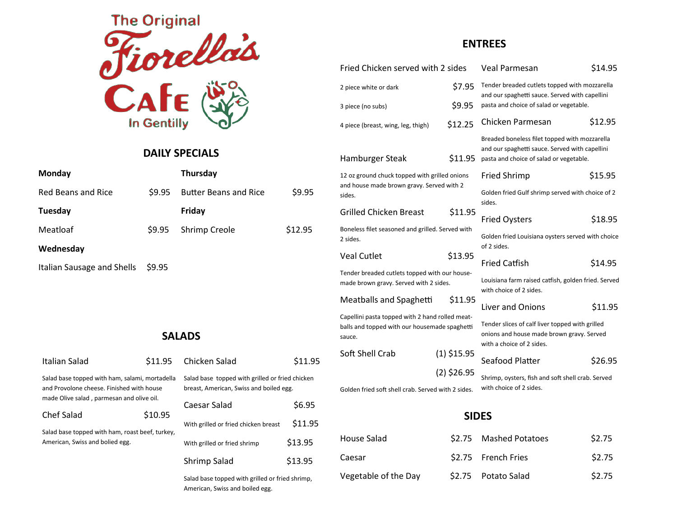

### **DAILY SPECIALS**

| Monday                     |        | Thursday                     |         |
|----------------------------|--------|------------------------------|---------|
| Red Beans and Rice         | \$9.95 | <b>Butter Beans and Rice</b> | \$9.95  |
| Tuesday                    |        | Friday                       |         |
| Meatloaf                   | \$9.95 | <b>Shrimp Creole</b>         | \$12.95 |
| Wednesday                  |        |                              |         |
| Italian Sausage and Shells | \$9.95 |                              |         |

# **SALADS**

| Italian Salad                                                                               | \$11.95 | Chicken Salad                                                                              | \$11.95 |
|---------------------------------------------------------------------------------------------|---------|--------------------------------------------------------------------------------------------|---------|
| Salad base topped with ham, salami, mortadella<br>and Provolone cheese. Finished with house |         | Salad base topped with grilled or fried chicken<br>breast, American, Swiss and boiled egg. |         |
| made Olive salad, parmesan and olive oil.                                                   |         | Caesar Salad                                                                               | \$6.95  |
| Chef Salad                                                                                  | \$10.95 | With grilled or fried chicken breast                                                       | \$11.95 |
| Salad base topped with ham, roast beef, turkey,<br>American, Swiss and bolied egg.          |         | With grilled or fried shrimp                                                               | \$13.95 |
|                                                                                             |         | Shrimp Salad                                                                               | \$13.95 |
|                                                                                             |         | Salad base topped with grilled or fried shrimp,                                            |         |

American, Swiss and boiled egg.

### **ENTREES**

|              | Fried Chicken served with 2 sides                                                                          |               | <b>Veal Parmesan</b>                                                                                                                       | \$14.95 |
|--------------|------------------------------------------------------------------------------------------------------------|---------------|--------------------------------------------------------------------------------------------------------------------------------------------|---------|
|              | \$7.95<br>2 piece white or dark                                                                            |               | Tender breaded cutlets topped with mozzarella<br>and our spaghetti sauce. Served with capellini                                            |         |
|              | 3 piece (no subs)                                                                                          | \$9.95        | pasta and choice of salad or vegetable.                                                                                                    |         |
|              | 4 piece (breast, wing, leg, thigh)                                                                         | \$12.25       | Chicken Parmesan                                                                                                                           | \$12.95 |
|              | Hamburger Steak                                                                                            | \$11.95       | Breaded boneless filet topped with mozzarella<br>and our spaghetti sauce. Served with capellini<br>pasta and choice of salad or vegetable. |         |
|              | 12 oz ground chuck topped with grilled onions<br>and house made brown gravy. Served with 2<br>sides.       |               | <b>Fried Shrimp</b>                                                                                                                        | \$15.95 |
|              |                                                                                                            |               | Golden fried Gulf shrimp served with choice of 2<br>sides.                                                                                 |         |
|              | <b>Grilled Chicken Breast</b>                                                                              | \$11.95       | <b>Fried Oysters</b>                                                                                                                       | \$18.95 |
|              | Boneless filet seasoned and grilled. Served with<br>2 sides.                                               |               | Golden fried Louisiana oysters served with choice<br>of 2 sides.                                                                           |         |
|              | <b>Veal Cutlet</b>                                                                                         | \$13.95       | <b>Fried Catfish</b>                                                                                                                       | \$14.95 |
|              | Tender breaded cutlets topped with our house-<br>made brown gravy. Served with 2 sides.                    |               | Louisiana farm raised catfish, golden fried. Served<br>with choice of 2 sides.                                                             |         |
|              | Meatballs and Spaghetti                                                                                    | \$11.95       | Liver and Onions                                                                                                                           | \$11.95 |
|              | Capellini pasta topped with 2 hand rolled meat-<br>balls and topped with our housemade spaghetti<br>sauce. |               | Tender slices of calf liver topped with grilled<br>onions and house made brown gravy. Served<br>with a choice of 2 sides.                  |         |
|              | Soft Shell Crab                                                                                            | $(1)$ \$15.95 | Seafood Platter                                                                                                                            | \$26.95 |
|              |                                                                                                            | $(2)$ \$26.95 | Shrimp, oysters, fish and soft shell crab. Served                                                                                          |         |
|              | Golden fried soft shell crab. Served with 2 sides.                                                         |               | with choice of 2 sides.                                                                                                                    |         |
| <b>SIDES</b> |                                                                                                            |               |                                                                                                                                            |         |
|              | House Salad                                                                                                | S2.75         | <b>Mashed Potatoes</b>                                                                                                                     | S2.75   |
|              | Caesar                                                                                                     | \$2.75        | <b>French Fries</b>                                                                                                                        | S2.75   |
|              |                                                                                                            |               |                                                                                                                                            |         |

 $$2.75$  Potato Salad  $$2.75$ 

Vegetable of the Day